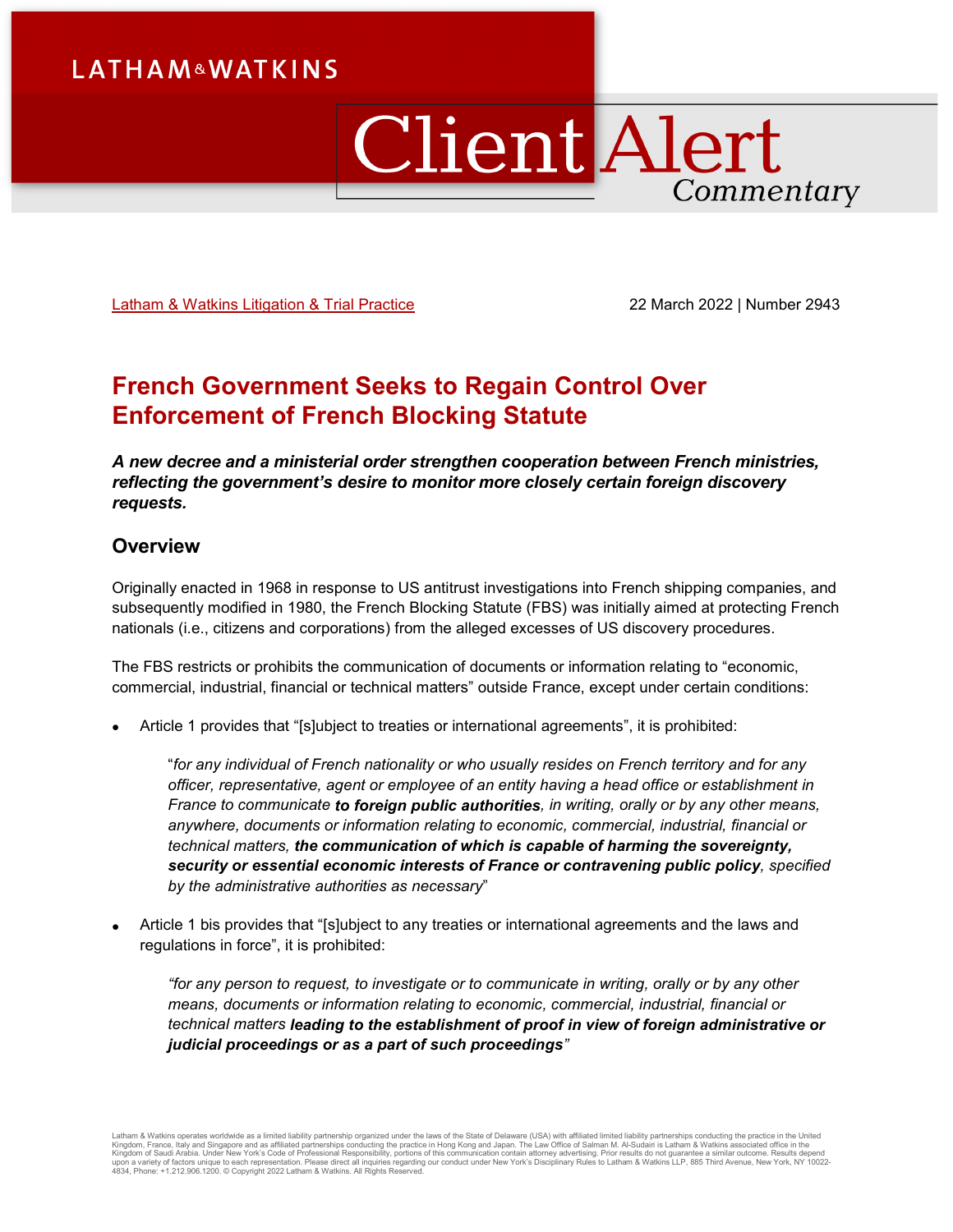# ClientAlert Commentary

Latham & [Watkins Litigation & Trial Practice](https://www.lw.com/practices/LitigationandTrialPractice) 22 March 2022 | Number 2943

# **French Government Seeks to Regain Control Over Enforcement of French Blocking Statute**

*A new decree and a ministerial order strengthen cooperation between French ministries, reflecting the government's desire to monitor more closely certain foreign discovery requests.*

# **Overview**

Originally enacted in 1968 in response to US antitrust investigations into French shipping companies, and subsequently modified in 1980, the French Blocking Statute (FBS) was initially aimed at protecting French nationals (i.e., citizens and corporations) from the alleged excesses of US discovery procedures.

The FBS restricts or prohibits the communication of documents or information relating to "economic, commercial, industrial, financial or technical matters" outside France, except under certain conditions:

• Article 1 provides that "[s]ubject to treaties or international agreements", it is prohibited:

"*for any individual of French nationality or who usually resides on French territory and for any officer, representative, agent or employee of an entity having a head office or establishment in France to communicate to foreign public authorities, in writing, orally or by any other means, anywhere, documents or information relating to economic, commercial, industrial, financial or technical matters, the communication of which is capable of harming the sovereignty, security or essential economic interests of France or contravening public policy, specified by the administrative authorities as necessary*"

• Article 1 bis provides that "[s]ubject to any treaties or international agreements and the laws and regulations in force", it is prohibited:

*"for any person to request, to investigate or to communicate in writing, orally or by any other means, documents or information relating to economic, commercial, industrial, financial or technical matters leading to the establishment of proof in view of foreign administrative or judicial proceedings or as a part of such proceedings"*

Latham & Watkins operates worldwide as a limited liability partnership organized under the laws of the State of Delaware (USA) with affiliated limited liability partnerships conducting the practice in the United<br>Kingdom of 4834, Phone: +1.212.906.1200. © Copyright 2022 Latham & Watkins. All Rights Reserved.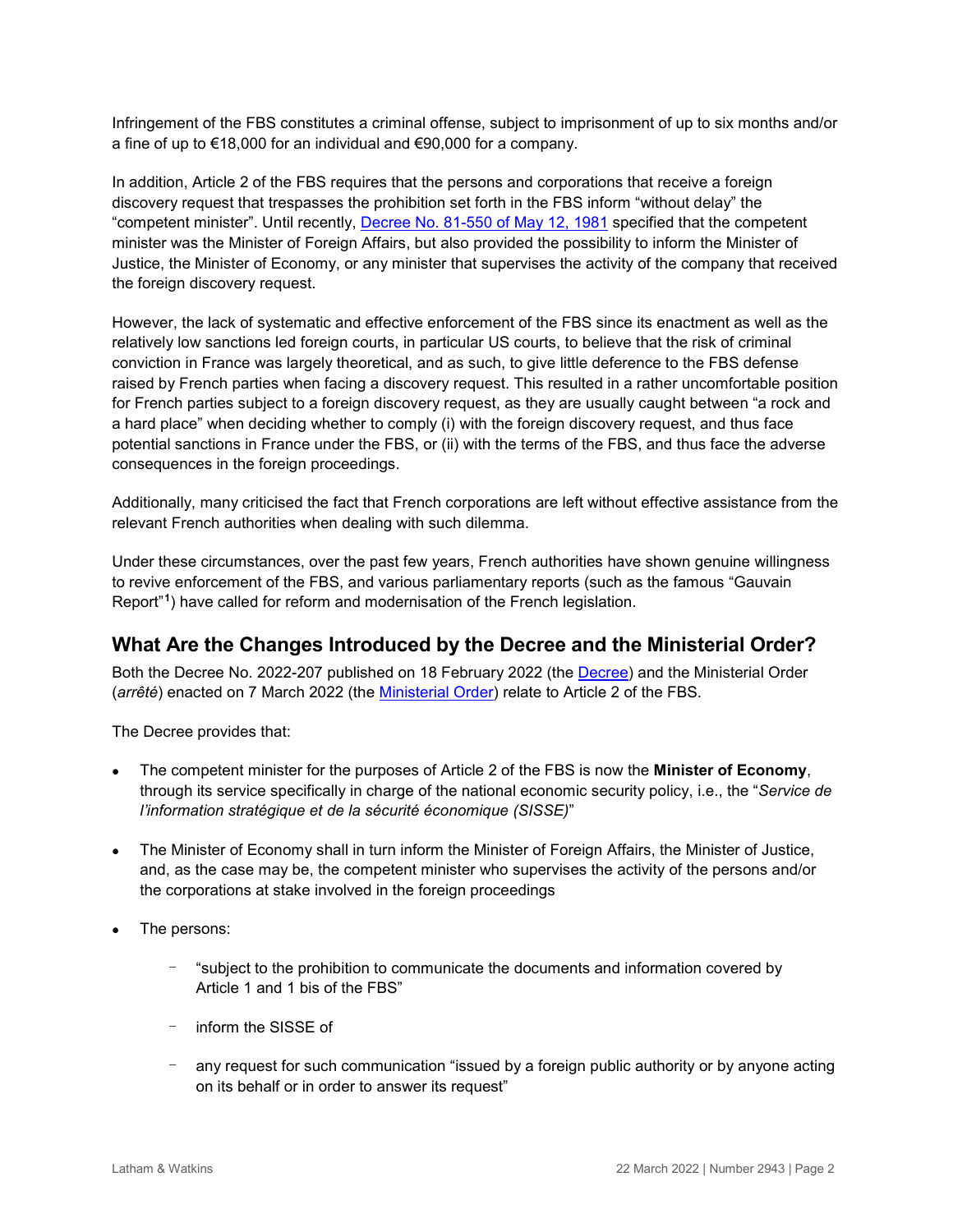Infringement of the FBS constitutes a criminal offense, subject to imprisonment of up to six months and/or a fine of up to €18,000 for an individual and €90,000 for a company.

In addition, Article 2 of the FBS requires that the persons and corporations that receive a foreign discovery request that trespasses the prohibition set forth in the FBS inform "without delay" the "competent minister". Until recently, [Decree No. 81-550 of May 12, 1981](https://www.legifrance.gouv.fr/loda/id/JORFTEXT000000703748/) specified that the competent minister was the Minister of Foreign Affairs, but also provided the possibility to inform the Minister of Justice, the Minister of Economy, or any minister that supervises the activity of the company that received the foreign discovery request.

However, the lack of systematic and effective enforcement of the FBS since its enactment as well as the relatively low sanctions led foreign courts, in particular US courts, to believe that the risk of criminal conviction in France was largely theoretical, and as such, to give little deference to the FBS defense raised by French parties when facing a discovery request. This resulted in a rather uncomfortable position for French parties subject to a foreign discovery request, as they are usually caught between "a rock and a hard place" when deciding whether to comply (i) with the foreign discovery request, and thus face potential sanctions in France under the FBS, or (ii) with the terms of the FBS, and thus face the adverse consequences in the foreign proceedings.

Additionally, many criticised the fact that French corporations are left without effective assistance from the relevant French authorities when dealing with such dilemma.

Under these circumstances, over the past few years, French authorities have shown genuine willingness to revive enforcement of the FBS, and various parliamentary reports (such as the famous "Gauvain Report"**[1](#page-4-0)**) have called for reform and modernisation of the French legislation.

# **What Are the Changes Introduced by the Decree and the Ministerial Order?**

Both the Decree No. 2022-207 published on 18 February 2022 (the [Decree\)](https://www.legifrance.gouv.fr/jorf/id/JORFTEXT000045190519#:%7E:text=Dans%20les%20r%C3%A9sum%C3%A9s-,D%C3%A9cret%20n%C2%B0%202022%2D207%20du%2018%20f%C3%A9vrier%202022%20relatif,personnes%20physiques%20ou%20morales%20%C3%A9trang%C3%A8res) and the Ministerial Order (*arrêté*) enacted on 7 March 2022 (the [Ministerial Order\)](https://www.legifrance.gouv.fr/jorf/id/JORFTEXT000045358485) relate to Article 2 of the FBS.

The Decree provides that:

- The competent minister for the purposes of Article 2 of the FBS is now the **Minister of Economy**, through its service specifically in charge of the national economic security policy, i.e., the "*Service de l'information stratégique et de la sécurité économique (SISSE)*"
- The Minister of Economy shall in turn inform the Minister of Foreign Affairs, the Minister of Justice, and, as the case may be, the competent minister who supervises the activity of the persons and/or the corporations at stake involved in the foreign proceedings
- The persons:
	- "subject to the prohibition to communicate the documents and information covered by Article 1 and 1 bis of the FBS"
	- inform the SISSE of
	- any request for such communication "issued by a foreign public authority or by anyone acting on its behalf or in order to answer its request"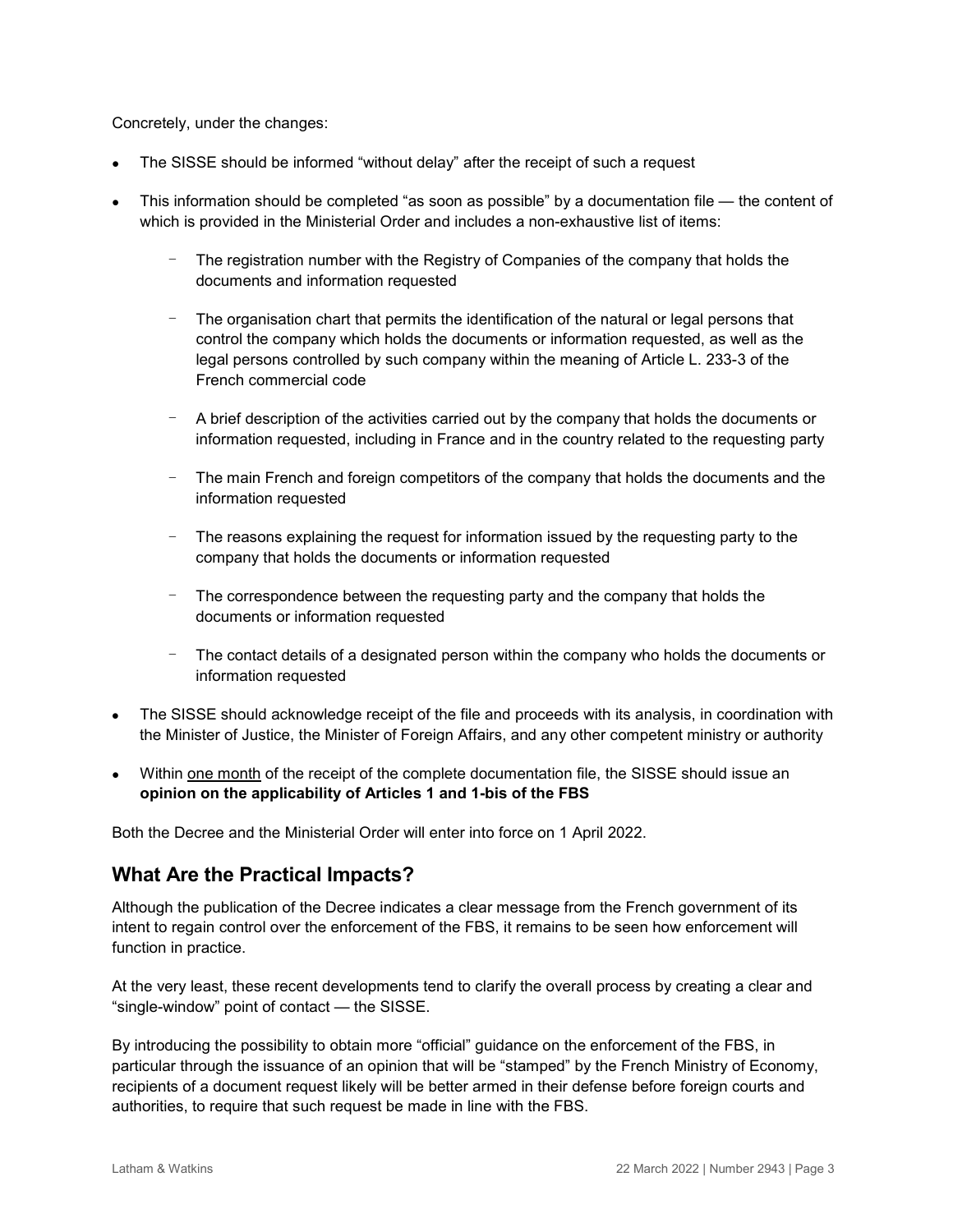Concretely, under the changes:

- The SISSE should be informed "without delay" after the receipt of such a request
- This information should be completed "as soon as possible" by a documentation file the content of which is provided in the Ministerial Order and includes a non-exhaustive list of items:
	- The registration number with the Registry of Companies of the company that holds the documents and information requested
	- The organisation chart that permits the identification of the natural or legal persons that control the company which holds the documents or information requested, as well as the legal persons controlled by such company within the meaning of Article L. 233-3 of the French commercial code
	- A brief description of the activities carried out by the company that holds the documents or information requested, including in France and in the country related to the requesting party
	- The main French and foreign competitors of the company that holds the documents and the information requested
	- The reasons explaining the request for information issued by the requesting party to the company that holds the documents or information requested
	- The correspondence between the requesting party and the company that holds the documents or information requested
	- The contact details of a designated person within the company who holds the documents or information requested
- The SISSE should acknowledge receipt of the file and proceeds with its analysis, in coordination with the Minister of Justice, the Minister of Foreign Affairs, and any other competent ministry or authority
- Within one month of the receipt of the complete documentation file, the SISSE should issue an **opinion on the applicability of Articles 1 and 1-bis of the FBS**

Both the Decree and the Ministerial Order will enter into force on 1 April 2022.

# **What Are the Practical Impacts?**

Although the publication of the Decree indicates a clear message from the French government of its intent to regain control over the enforcement of the FBS, it remains to be seen how enforcement will function in practice.

At the very least, these recent developments tend to clarify the overall process by creating a clear and "single-window" point of contact — the SISSE.

By introducing the possibility to obtain more "official" guidance on the enforcement of the FBS, in particular through the issuance of an opinion that will be "stamped" by the French Ministry of Economy, recipients of a document request likely will be better armed in their defense before foreign courts and authorities, to require that such request be made in line with the FBS.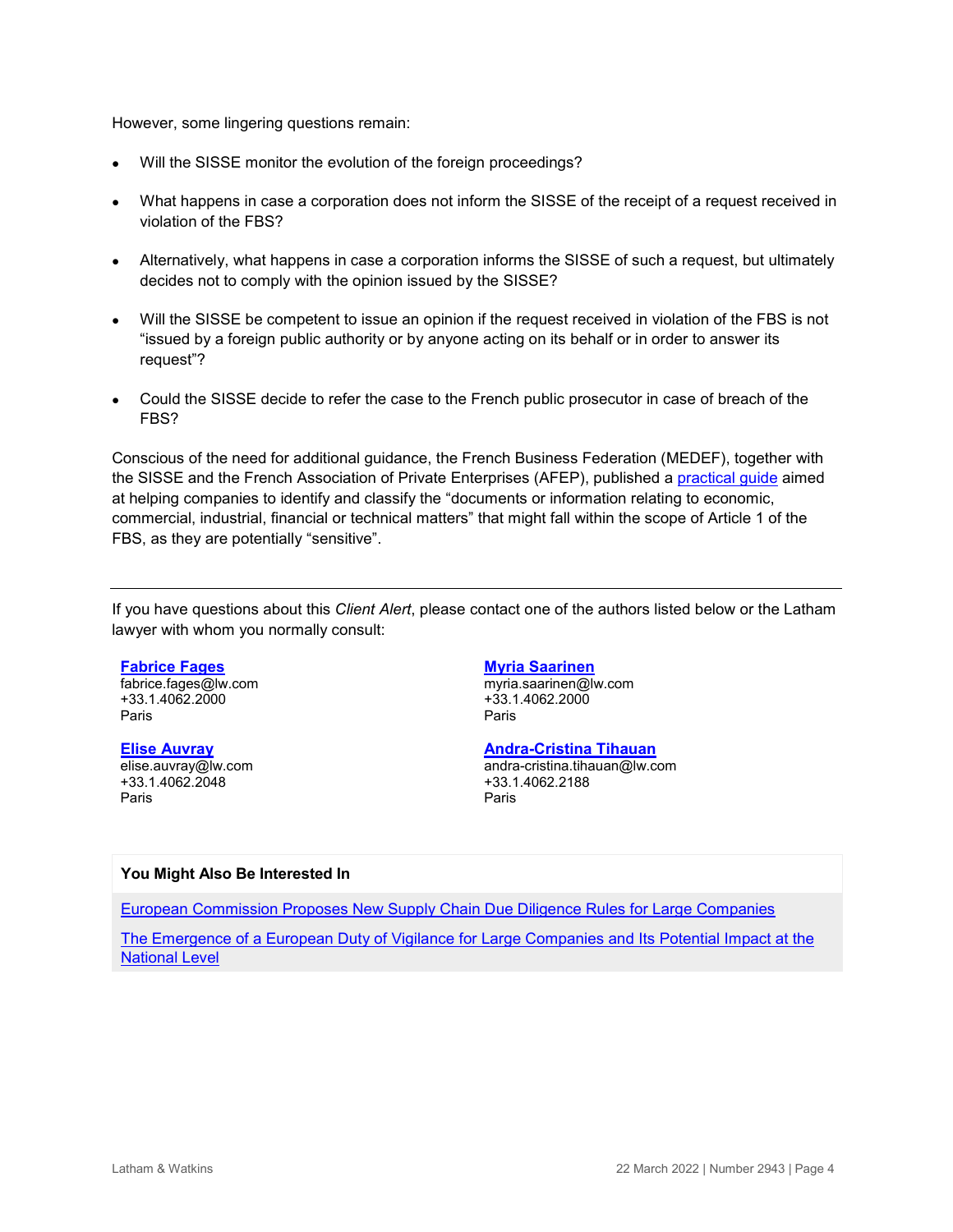However, some lingering questions remain:

- Will the SISSE monitor the evolution of the foreign proceedings?
- What happens in case a corporation does not inform the SISSE of the receipt of a request received in violation of the FBS?
- Alternatively, what happens in case a corporation informs the SISSE of such a request, but ultimately decides not to comply with the opinion issued by the SISSE?
- Will the SISSE be competent to issue an opinion if the request received in violation of the FBS is not "issued by a foreign public authority or by anyone acting on its behalf or in order to answer its request"?
- Could the SISSE decide to refer the case to the French public prosecutor in case of breach of the FBS?

Conscious of the need for additional guidance, the French Business Federation (MEDEF), together with the SISSE and the French Association of Private Enterprises (AFEP), published a [practical guide](https://sisse.entreprises.gouv.fr/files_sisse/files/outils/guide/guide-identification-donnees-sensibles.pdf?v=1647428454) aimed at helping companies to identify and classify the "documents or information relating to economic, commercial, industrial, financial or technical matters" that might fall within the scope of Article 1 of the FBS, as they are potentially "sensitive".

If you have questions about this *Client Alert*, please contact one of the authors listed below or the Latham lawyer with whom you normally consult:

#### **[Fabrice Fages](https://www.lw.com/people/fabrice-fages)**

fabrice.fages@lw.com +33.1.4062.2000 Paris

#### **[Elise Auvray](https://www.lw.com/people/elise-auvray)**

elise.auvray@lw.com +33.1.4062.2048 Paris

#### **[Myria Saarinen](https://www.lw.com/people/myria-saarinen)**

myria.saarinen@lw.com +33.1.4062.2000 Paris

#### **[Andra-Cristina Tihauan](https://www.lw.com/people/andra-cristina-tihauan)**

andra-cristina.tihauan@lw.com +33.1.4062.2188 Paris

#### **You Might Also Be Interested In**

[European Commission Proposes New Supply Chain Due Diligence Rules for Large Companies](https://www.globalelr.com/2022/02/european-commission-proposes-new-supply-chain-due-diligence-rules-for-large-companies/)

[The Emergence of a European Duty of Vigilance for Large Companies and Its Potential Impact at the](https://www.lw.com/thoughtLeadership/the-emergence-of-a-european-duty-of-vigilance-for-large-companies-and-its-potential-impact-at-the-national-level)  [National Level](https://www.lw.com/thoughtLeadership/the-emergence-of-a-european-duty-of-vigilance-for-large-companies-and-its-potential-impact-at-the-national-level)